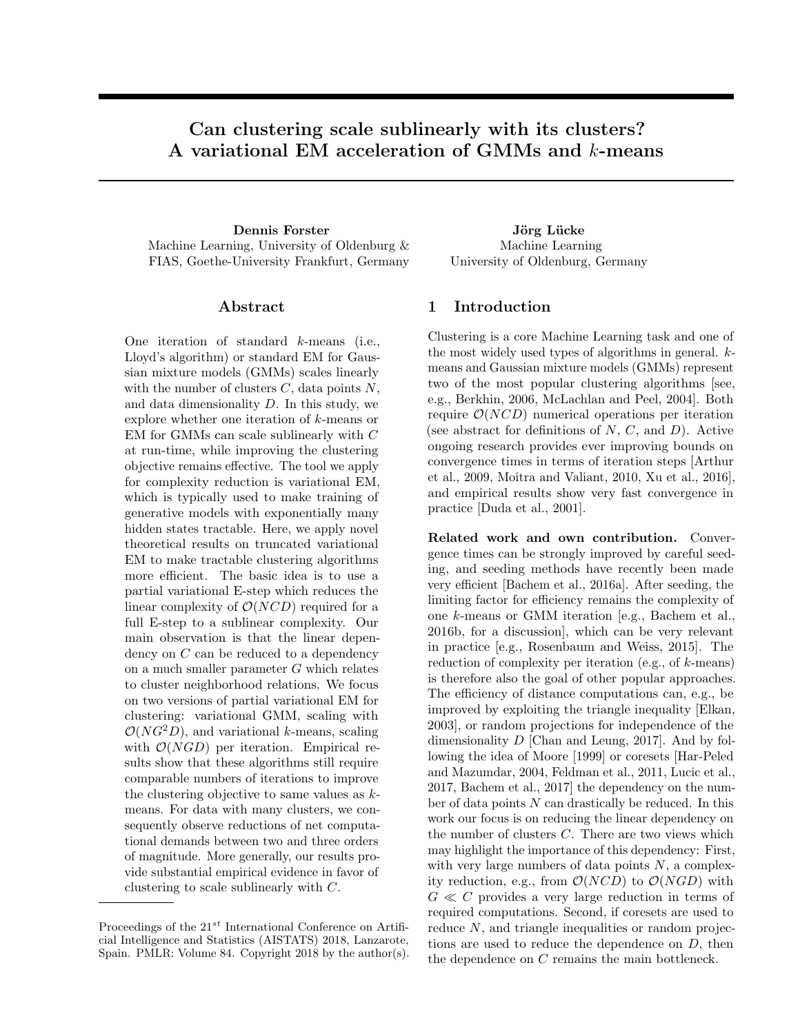# Can clustering scale sublinearly with its clusters? A variational EM acceleration of GMMs and k-means

Dennis Forster Jörg Lücke Machine Learning, University of Oldenburg & FIAS, Goethe-University Frankfurt, Germany

### Abstract

One iteration of standard k-means (i.e., Lloyd's algorithm) or standard EM for Gaussian mixture models (GMMs) scales linearly with the number of clusters  $C$ , data points  $N$ , and data dimensionality  $D$ . In this study, we explore whether one iteration of k-means or EM for GMMs can scale sublinearly with C at run-time, while improving the clustering objective remains effective. The tool we apply for complexity reduction is variational EM, which is typically used to make training of generative models with exponentially many hidden states tractable. Here, we apply novel theoretical results on truncated variational EM to make tractable clustering algorithms more efficient. The basic idea is to use a partial variational E-step which reduces the linear complexity of  $\mathcal{O}(NCD)$  required for a full E-step to a sublinear complexity. Our main observation is that the linear dependency on C can be reduced to a dependency on a much smaller parameter  $G$  which relates to cluster neighborhood relations. We focus on two versions of partial variational EM for clustering: variational GMM, scaling with  $\mathcal{O}(NG^2D)$ , and variational k-means, scaling with  $\mathcal{O}(NGD)$  per iteration. Empirical results show that these algorithms still require comparable numbers of iterations to improve the clustering objective to same values as  $k$ means. For data with many clusters, we consequently observe reductions of net computational demands between two and three orders of magnitude. More generally, our results provide substantial empirical evidence in favor of clustering to scale sublinearly with C.

Machine Learning University of Oldenburg, Germany

## 1 Introduction

Clustering is a core Machine Learning task and one of the most widely used types of algorithms in general. kmeans and Gaussian mixture models (GMMs) represent two of the most popular clustering algorithms [see, e.g., [Berkhin, 2006,](#page-8-0) [McLachlan and Peel, 2004\]](#page-8-1). Both require  $\mathcal{O}(NCD)$  numerical operations per iteration (see abstract for definitions of  $N$ ,  $C$ , and  $D$ ). Active ongoing research provides ever improving bounds on convergence times in terms of iteration steps [\[Arthur](#page-8-2) [et al., 2009,](#page-8-2) [Moitra and Valiant, 2010,](#page-8-3) [Xu et al., 2016\]](#page-8-4), and empirical results show very fast convergence in practice [\[Duda et al., 2001\]](#page-8-5).

Related work and own contribution. Convergence times can be strongly improved by careful seeding, and seeding methods have recently been made very efficient [\[Bachem et al., 2016a\]](#page-8-6). After seeding, the limiting factor for efficiency remains the complexity of one k-means or GMM iteration [e.g., [Bachem et al.,](#page-8-7) [2016b,](#page-8-7) for a discussion], which can be very relevant in practice [e.g., [Rosenbaum and Weiss, 2015\]](#page-8-8). The reduction of complexity per iteration (e.g., of  $k$ -means) is therefore also the goal of other popular approaches. The efficiency of distance computations can, e.g., be improved by exploiting the triangle inequality [\[Elkan,](#page-8-9) [2003\]](#page-8-9), or random projections for independence of the dimensionality D [\[Chan and Leung, 2017\]](#page-8-10). And by following the idea of [Moore](#page-8-11) [\[1999\]](#page-8-11) or coresets [\[Har-Peled](#page-8-12) [and Mazumdar, 2004,](#page-8-12) [Feldman et al., 2011,](#page-8-13) [Lucic et al.,](#page-8-14) [2017,](#page-8-14) [Bachem et al., 2017\]](#page-8-15) the dependency on the number of data points  $N$  can drastically be reduced. In this work our focus is on reducing the linear dependency on the number of clusters C. There are two views which may highlight the importance of this dependency: First, with very large numbers of data points  $N$ , a complexity reduction, e.g., from  $\mathcal{O}(NCD)$  to  $\mathcal{O}(NGD)$  with  $G \ll C$  provides a very large reduction in terms of required computations. Second, if coresets are used to reduce N, and triangle inequalities or random projections are used to reduce the dependence on D, then the dependence on C remains the main bottleneck.

Proceedings of the  $21^{st}$  International Conference on Artificial Intelligence and Statistics (AISTATS) 2018, Lanzarote, Spain. PMLR: Volume 84. Copyright 2018 by the author(s).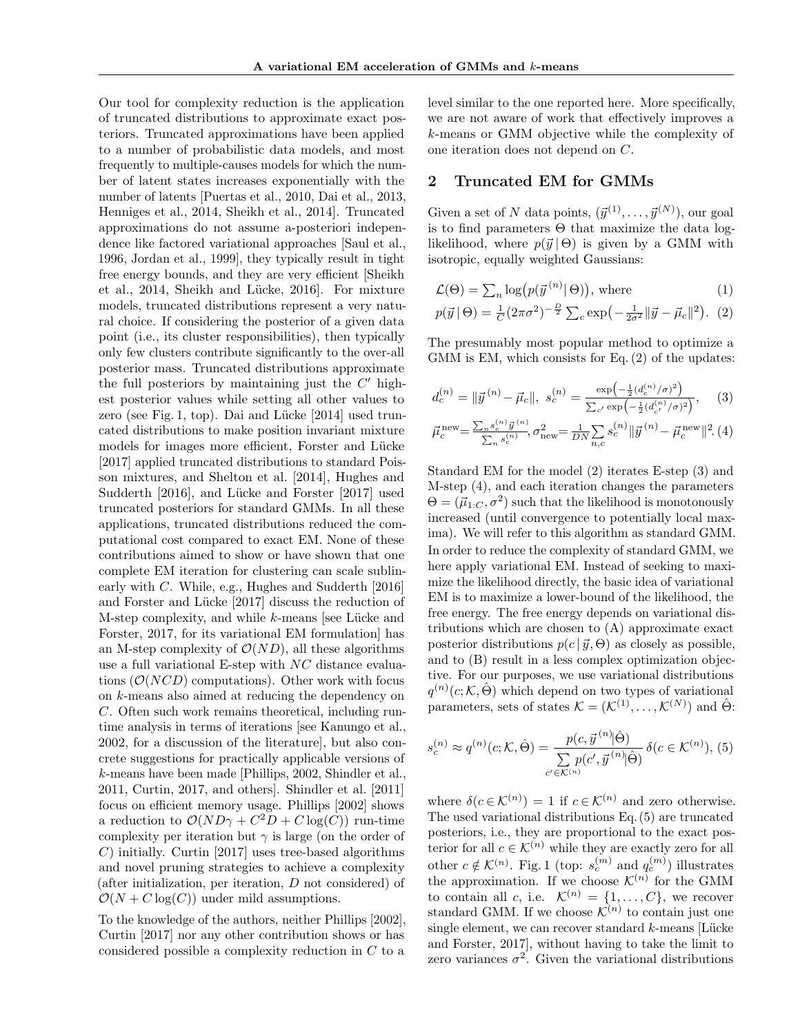Our tool for complexity reduction is the application of truncated distributions to approximate exact posteriors. Truncated approximations have been applied to a number of probabilistic data models, and most frequently to multiple-causes models for which the number of latent states increases exponentially with the number of latents [\[Puertas et al., 2010,](#page-8-16) [Dai et al., 2013,](#page-8-17) [Henniges et al., 2014,](#page-8-18) [Sheikh et al., 2014\]](#page-8-19). Truncated approximations do not assume a-posteriori independence like factored variational approaches [\[Saul et al.,](#page-8-20) [1996,](#page-8-20) [Jordan et al., 1999\]](#page-8-21), they typically result in tight free energy bounds, and they are very efficient [\[Sheikh](#page-8-19) [et al., 2014,](#page-8-19) Sheikh and Lücke, 2016]. For mixture models, truncated distributions represent a very natural choice. If considering the posterior of a given data point (i.e., its cluster responsibilities), then typically only few clusters contribute significantly to the over-all posterior mass. Truncated distributions approximate the full posteriors by maintaining just the  $C'$  highest posterior values while setting all other values to zero (see Fig. [1,](#page-2-0) top). Dai and Lücke  $[2014]$  used truncated distributions to make position invariant mixture models for images more efficient, Forster and Lücke [\[2017\]](#page-8-24) applied truncated distributions to standard Poisson mixtures, and [Shelton et al.](#page-8-25) [\[2014\]](#page-8-25), [Hughes and](#page-8-26) [Sudderth](#page-8-26) [\[2016\]](#page-8-26), and Lücke and Forster [\[2017\]](#page-8-27) used truncated posteriors for standard GMMs. In all these applications, truncated distributions reduced the computational cost compared to exact EM. None of these contributions aimed to show or have shown that one complete EM iteration for clustering can scale sublinearly with C. While, e.g., [Hughes and Sudderth](#page-8-26) [\[2016\]](#page-8-26) and Forster and Lücke [\[2017\]](#page-8-24) discuss the reduction of M-step complexity, and while  $k$ -means [see Lücke and [Forster, 2017,](#page-8-27) for its variational EM formulation] has an M-step complexity of  $\mathcal{O}(ND)$ , all these algorithms use a full variational E-step with NC distance evaluations  $(\mathcal{O}(NCD))$  computations). Other work with focus on k-means also aimed at reducing the dependency on C. Often such work remains theoretical, including runtime analysis in terms of iterations [see [Kanungo et al.,](#page-8-28) [2002,](#page-8-28) for a discussion of the literature], but also concrete suggestions for practically applicable versions of k-means have been made [\[Phillips, 2002,](#page-8-29) [Shindler et al.,](#page-8-30) [2011,](#page-8-30) [Curtin, 2017,](#page-8-31) and others]. [Shindler et al.](#page-8-30) [\[2011\]](#page-8-30) focus on efficient memory usage. [Phillips](#page-8-29) [\[2002\]](#page-8-29) shows a reduction to  $\mathcal{O}(ND\gamma + C^2D + C \log(C))$  run-time complexity per iteration but  $\gamma$  is large (on the order of C) initially. [Curtin](#page-8-31) [\[2017\]](#page-8-31) uses tree-based algorithms and novel pruning strategies to achieve a complexity (after initialization, per iteration, D not considered) of  $\mathcal{O}(N + C \log(C))$  under mild assumptions.

To the knowledge of the authors, neither [Phillips](#page-8-29) [\[2002\]](#page-8-29), [Curtin](#page-8-31) [\[2017\]](#page-8-31) nor any other contribution shows or has considered possible a complexity reduction in C to a

level similar to the one reported here. More specifically, we are not aware of work that effectively improves a k-means or GMM objective while the complexity of one iteration does not depend on C.

### 2 Truncated EM for GMMs

Given a set of N data points,  $(\vec{y}^{(1)}, \ldots, \vec{y}^{(N)})$ , our goal is to find parameters  $\Theta$  that maximize the data loglikelihood, where  $p(\vec{y} | \Theta)$  is given by a GMM with isotropic, equally weighted Gaussians:

<span id="page-1-4"></span><span id="page-1-0"></span>
$$
\mathcal{L}(\Theta) = \sum_{n} \log(p(\vec{y}^{(n)}|\Theta)), \text{ where } (1)
$$

$$
p(\vec{y} \,|\, \Theta) = \frac{1}{C} (2\pi\sigma^2)^{-\frac{D}{2}} \sum_{c} \exp\left(-\frac{1}{2\sigma^2} ||\vec{y} - \vec{\mu}_c||^2\right). \tag{2}
$$

The presumably most popular method to optimize a GMM is EM, which consists for Eq. [\(2\)](#page-1-0) of the updates:

<span id="page-1-1"></span>
$$
d_c^{(n)} = \|\vec{y}^{(n)} - \vec{\mu}_c\|, \ s_c^{(n)} = \frac{\exp\left(-\frac{1}{2}(d_c^{(n)}/\sigma)^2\right)}{\sum_{c'} \exp\left(-\frac{1}{2}(d_{c'}^{(n)}/\sigma)^2\right)}, \quad (3)
$$

<span id="page-1-2"></span>
$$
\vec{\mu}_{c}^{\text{new}} = \frac{\sum_{n} s_{c}^{(n)} \vec{y}^{(n)}}{\sum_{n} s_{c}^{(n)}}, \sigma_{\text{new}}^{2} = \frac{1}{DN} \sum_{n,c} s_{c}^{(n)} || \vec{y}^{(n)} - \vec{\mu}_{c}^{\text{new}} ||^{2} (4)
$$

Standard EM for the model [\(2\)](#page-1-0) iterates E-step [\(3\)](#page-1-1) and M-step [\(4\)](#page-1-2), and each iteration changes the parameters  $\Theta = (\vec{\mu}_{1:C}, \sigma^2)$  such that the likelihood is monotonously increased (until convergence to potentially local maxima). We will refer to this algorithm as standard GMM. In order to reduce the complexity of standard GMM, we here apply variational EM. Instead of seeking to maximize the likelihood directly, the basic idea of variational EM is to maximize a lower-bound of the likelihood, the free energy. The free energy depends on variational distributions which are chosen to (A) approximate exact posterior distributions  $p(c | \vec{y}, \Theta)$  as closely as possible, and to (B) result in a less complex optimization objective. For our purposes, we use variational distributions  $q^{(n)}(c;\mathcal{K},\hat{\Theta})$  which depend on two types of variational parameters, sets of states  $\mathcal{K} = (\mathcal{K}^{(1)}, \dots, \mathcal{K}^{(N)})$  and  $\hat{\Theta}$ :

<span id="page-1-3"></span>
$$
s_c^{(n)} \approx q^{(n)}(c; \mathcal{K}, \hat{\Theta}) = \frac{p(c, \vec{y}^{(n)} | \hat{\Theta})}{\sum\limits_{c' \in \mathcal{K}^{(n)}} p(c', \vec{y}^{(n)} | \hat{\Theta})} \delta(c \in \mathcal{K}^{(n)}), (5)
$$

where  $\delta(c \in \mathcal{K}^{(n)}) = 1$  if  $c \in \mathcal{K}^{(n)}$  and zero otherwise. The used variational distributions Eq. [\(5\)](#page-1-3) are truncated posteriors, i.e., they are proportional to the exact posterior for all  $c \in \mathcal{K}^{(n)}$  while they are exactly zero for all other  $c \notin \mathcal{K}^{(n)}$ . Fig. [1](#page-2-0) (top:  $s_c^{(m)}$  and  $q_c^{(m)}$ ) illustrates the approximation. If we choose  $\mathcal{K}^{(n)}$  for the GMM to contain all c, i.e.  $\mathcal{K}^{(n)} = \{1, \ldots, C\}$ , we recover standard GMM. If we choose  $\mathcal{K}^{(n)}$  to contain just one single element, we can recover standard  $k$ -means [Lücke [and Forster, 2017\]](#page-8-27), without having to take the limit to zero variances  $\sigma^2$ . Given the variational distributions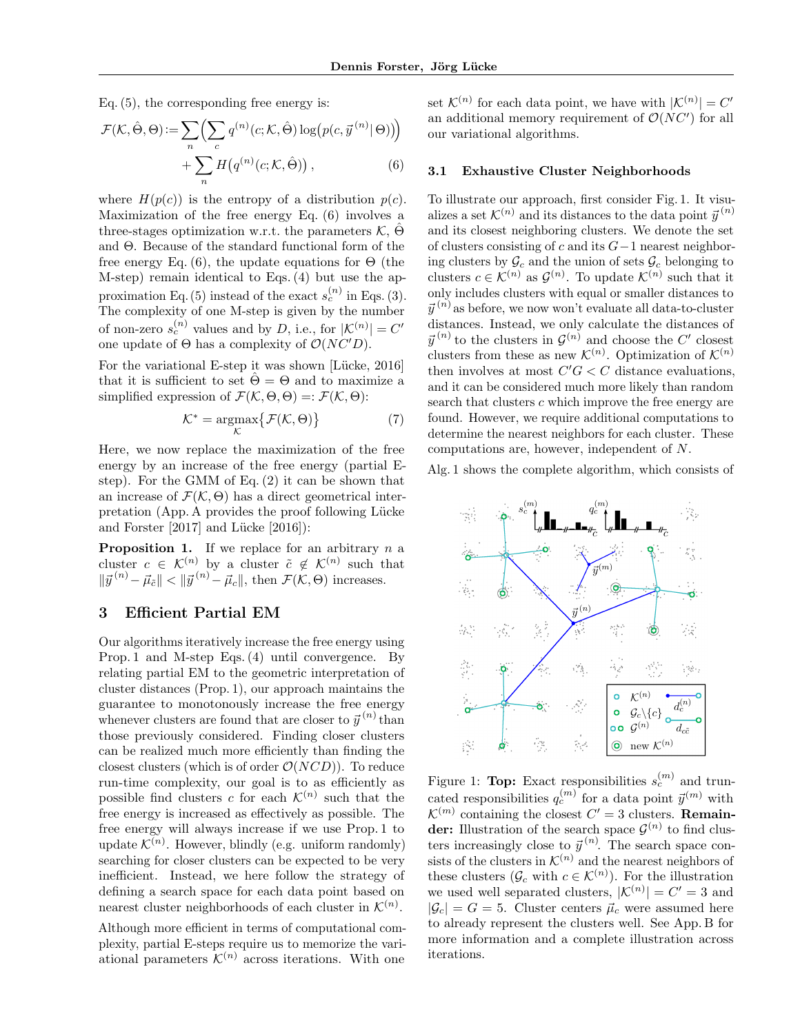Eq. [\(5\)](#page-1-3), the corresponding free energy is:

$$
\mathcal{F}(\mathcal{K}, \hat{\Theta}, \Theta) := \sum_{n} \left( \sum_{c} q^{(n)}(c; \mathcal{K}, \hat{\Theta}) \log(p(c, \vec{y}^{(n)} | \Theta)) \right) + \sum_{n} H(q^{(n)}(c; \mathcal{K}, \hat{\Theta})) ,
$$
\n(6)

where  $H(p(c))$  is the entropy of a distribution  $p(c)$ . Maximization of the free energy Eq. [\(6\)](#page-2-1) involves a three-stages optimization w.r.t. the parameters  $K, \Theta$ and Θ. Because of the standard functional form of the free energy Eq. [\(6\)](#page-2-1), the update equations for  $\Theta$  (the M-step) remain identical to [Eqs. \(4\)](#page-1-2) but use the ap-proximation Eq. [\(5\)](#page-1-3) instead of the exact  $s_c^{(n)}$  in [Eqs. \(3\).](#page-1-1) The complexity of one M-step is given by the number of non-zero  $s_c^{(n)}$  values and by D, i.e., for  $|\mathcal{K}^{(n)}| = C'$ one update of  $\Theta$  has a complexity of  $\mathcal{O}(NC'D)$ .

For the variational E-step it was shown [Lücke, 2016] that it is sufficient to set  $\hat{\Theta} = \Theta$  and to maximize a simplified expression of  $\mathcal{F}(\mathcal{K}, \Theta, \Theta) =: \mathcal{F}(\mathcal{K}, \Theta)$ :

$$
\mathcal{K}^* = \underset{\mathcal{K}}{\operatorname{argmax}} \{ \mathcal{F}(\mathcal{K}, \Theta) \} \tag{7}
$$

Here, we now replace the maximization of the free energy by an increase of the free energy (partial Estep). For the GMM of Eq. [\(2\)](#page-1-0) it can be shown that an increase of  $\mathcal{F}(\mathcal{K}, \Theta)$  has a direct geometrical inter-pretation (App. [A](#page--1-0) provides the proof following Lücke [and Forster](#page-8-27)  $[2017]$  and Lücke  $[2016]$ :

**Proposition 1.** If we replace for an arbitrary  $n$  a cluster  $c \in \mathcal{K}^{(n)}$  by a cluster  $\tilde{c} \notin \mathcal{K}^{(n)}$  such that  $\|\vec{y}^{(n)} - \vec{\mu}_{\tilde{c}}\| < \|\vec{y}^{(n)} - \vec{\mu}_{c}\|$ , then  $\mathcal{F}(\mathcal{K}, \Theta)$  increases.

### 3 Efficient Partial EM

Our algorithms iteratively increase the free energy using Prop. 1 and M-step [Eqs. \(4\)](#page-1-2) until convergence. By relating partial EM to the geometric interpretation of cluster distances (Prop. 1), our approach maintains the guarantee to monotonously increase the free energy whenever clusters are found that are closer to  $\vec{y}^{(n)}$  than those previously considered. Finding closer clusters can be realized much more efficiently than finding the closest clusters (which is of order  $\mathcal{O}(NCD)$ ). To reduce run-time complexity, our goal is to as efficiently as possible find clusters c for each  $\mathcal{K}^{(n)}$  such that the free energy is increased as effectively as possible. The free energy will always increase if we use Prop. 1 to update  $\mathcal{K}^{(n)}$ . However, blindly (e.g. uniform randomly) searching for closer clusters can be expected to be very inefficient. Instead, we here follow the strategy of defining a search space for each data point based on nearest cluster neighborhoods of each cluster in  $\mathcal{K}^{(n)}$ .

Although more efficient in terms of computational complexity, partial E-steps require us to memorize the variational parameters  $\mathcal{K}^{(n)}$  across iterations. With one

set  $\mathcal{K}^{(n)}$  for each data point, we have with  $|\mathcal{K}^{(n)}| = C'$ an additional memory requirement of  $\mathcal{O}(NC)$  for all our variational algorithms.

#### <span id="page-2-1"></span>3.1 Exhaustive Cluster Neighborhoods

To illustrate our approach, first consider Fig. [1.](#page-2-0) It visualizes a set  $\mathcal{K}^{(n)}$  and its distances to the data point  $\vec{y}^{(n)}$ and its closest neighboring clusters. We denote the set of clusters consisting of c and its  $G-1$  nearest neighboring clusters by  $\mathcal{G}_c$  and the union of sets  $\mathcal{G}_c$  belonging to clusters  $c \in \mathcal{K}^{(n)}$  as  $\mathcal{G}^{(n)}$ . To update  $\mathcal{K}^{(n)}$  such that it only includes clusters with equal or smaller distances to  $\vec{y}^{(n)}$  as before, we now won't evaluate all data-to-cluster distances. Instead, we only calculate the distances of  $\vec{y}^{(n)}$  to the clusters in  $\mathcal{G}^{(n)}$  and choose the C' closest clusters from these as new  $\mathcal{K}^{(n)}$ . Optimization of  $\mathcal{K}^{(n)}$ then involves at most  $C'G < C$  distance evaluations, and it can be considered much more likely than random search that clusters c which improve the free energy are found. However, we require additional computations to determine the nearest neighbors for each cluster. These computations are, however, independent of N.

Alg. [1](#page-3-0) shows the complete algorithm, which consists of

<span id="page-2-0"></span>

Figure 1: Top: Exact responsibilities  $s_c^{(m)}$  and truncated responsibilities  $q_c^{(m)}$  for a data point  $\vec{y}^{(m)}$  with  $\mathcal{K}^{(m)}$  containing the closest  $C' = 3$  clusters. **Remain**der: Illustration of the search space  $\mathcal{G}^{(n)}$  to find clusters increasingly close to  $\vec{y}^{(n)}$ . The search space consists of the clusters in  $\mathcal{K}^{(n)}$  and the nearest neighbors of these clusters  $(\mathcal{G}_c \text{ with } c \in \mathcal{K}^{(n)})$ . For the illustration we used well separated clusters,  $|\mathcal{K}^{(n)}| = C' = 3$  and  $|\mathcal{G}_c| = G = 5$ . Cluster centers  $\vec{\mu}_c$  were assumed here to already represent the clusters well. See App. [B](#page--1-1) for more information and a complete illustration across iterations.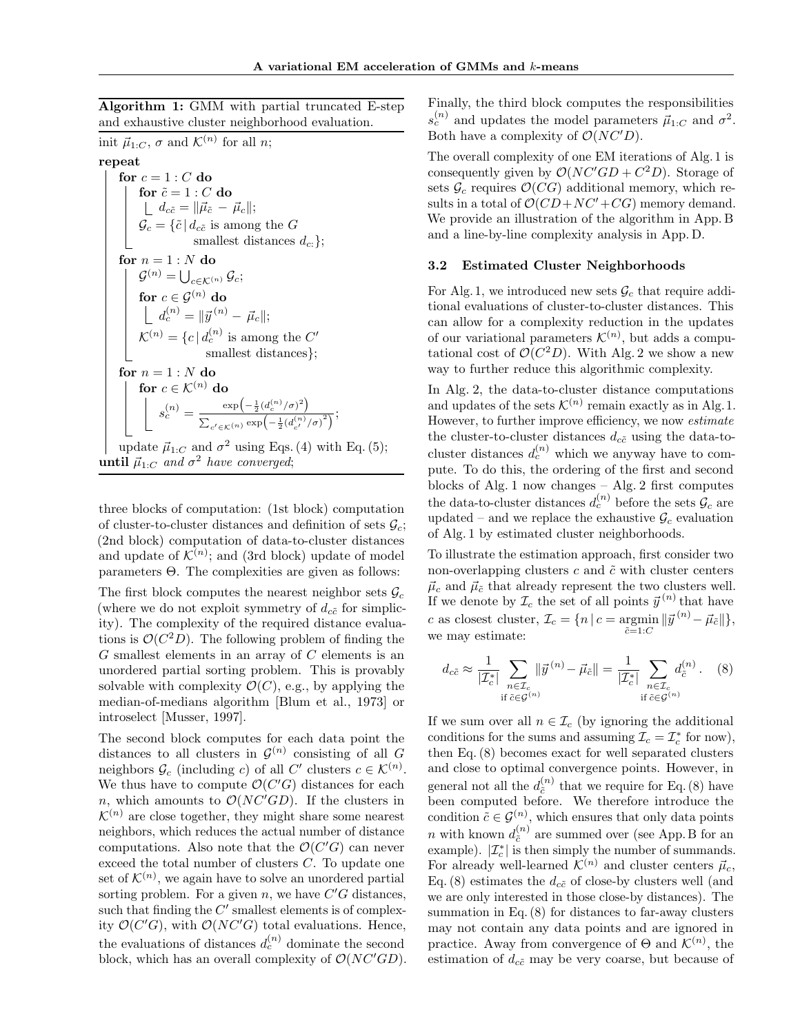Algorithm 1: GMM with partial truncated E-step and exhaustive cluster neighborhood evaluation.

init  $\vec{\mu}_{1:C}$ ,  $\sigma$  and  $\mathcal{K}^{(n)}$  for all n; repeat for  $c = 1 : C$  do for  $\tilde{c} = 1 : C$  do  $d_{c\tilde{c}} = \|\vec{\mu}_{\tilde{c}}~-~\vec{\mu}_{c}\|;$  $\mathcal{G}_c = \{\tilde{c} \,|\, d_{c\tilde{c}} \text{ is among the } G\}$ smallest distances  $d_{c:}$ }; for  $n = 1 : N$  do  $\mathcal{G}^{(n)} = \bigcup_{c \in \mathcal{K}^{(n)}} \mathcal{G}_c;$ for  $c\in {\mathcal G}^{(n)}$  do  $d_c^{(n)} = \| \vec{y}^{(n)} - \vec{\mu}_c \|;$  $\mathcal{K}^{(n)} = \{c \mid d_c^{(n)} \text{ is among the } C'$ smallest distances}; for  $n=1:N$  do for  $c \in \mathcal{K}^{(n)}$  do  $s_c^{(n)} = \frac{\exp(-\frac{1}{2}(d_c^{(n)}/\sigma)^2)}{\sum_{(n,1)(n)}$  $\frac{\exp(-\frac{1}{2}(a_c^{(n)}/\sigma))}{\sum_{c' \in \mathcal{K}}(n) \exp(-\frac{1}{2}(d_{c'}^{(n)}/\sigma))};$ update  $\vec{\mu}_{1:C}$  and  $\sigma^2$  using [Eqs. \(4\)](#page-1-2) with Eq. [\(5\)](#page-1-3); **until**  $\vec{\mu}_{1:C}$  and  $\sigma^2$  have converged;

<span id="page-3-0"></span>three blocks of computation: (1st block) computation of cluster-to-cluster distances and definition of sets  $\mathcal{G}_c$ ; (2nd block) computation of data-to-cluster distances and update of  $\mathcal{K}^{(n)}$ ; and (3rd block) update of model parameters Θ. The complexities are given as follows:

The first block computes the nearest neighbor sets  $\mathcal{G}_c$ (where we do not exploit symmetry of  $d_{c\tilde{c}}$  for simplicity). The complexity of the required distance evaluations is  $\mathcal{O}(C^2D)$ . The following problem of finding the  $G$  smallest elements in an array of  $C$  elements is an unordered partial sorting problem. This is provably solvable with complexity  $\mathcal{O}(C)$ , e.g., by applying the median-of-medians algorithm [\[Blum et al., 1973\]](#page-8-33) or introselect [\[Musser, 1997\]](#page-8-34).

The second block computes for each data point the distances to all clusters in  $\mathcal{G}^{(n)}$  consisting of all G neighbors  $\mathcal{G}_c$  (including c) of all C' clusters  $c \in \mathcal{K}^{(n)}$ . We thus have to compute  $\mathcal{O}(C'G)$  distances for each n, which amounts to  $\mathcal{O}(NC'GD)$ . If the clusters in  $\mathcal{K}^{(n)}$  are close together, they might share some nearest neighbors, which reduces the actual number of distance computations. Also note that the  $\mathcal{O}(C'G)$  can never exceed the total number of clusters C. To update one set of  $\mathcal{K}^{(n)}$ , we again have to solve an unordered partial sorting problem. For a given  $n$ , we have  $C'G$  distances, such that finding the  $C'$  smallest elements is of complexity  $\mathcal{O}(C'G)$ , with  $\mathcal{O}(NC'G)$  total evaluations. Hence, the evaluations of distances  $d_c^{(n)}$  dominate the second block, which has an overall complexity of  $\mathcal{O}(NC'GD)$ .

Finally, the third block computes the responsibilities  $s_c^{(n)}$  and updates the model parameters  $\vec{\mu}_{1:C}$  and  $\sigma^2$ . Both have a complexity of  $\mathcal{O}(NC'D)$ .

The overall complexity of one EM iterations of Alg. [1](#page-3-0) is consequently given by  $\mathcal{O}(NC'GD + C^2D)$ . Storage of sets  $\mathcal{G}_c$  requires  $\mathcal{O}(CG)$  additional memory, which results in a total of  $\mathcal{O}(CD+NC'+CG)$  memory demand. We provide an illustration of the algorithm in App. [B](#page--1-1) and a line-by-line complexity analysis in App. [D.](#page--1-2)

### 3.2 Estimated Cluster Neighborhoods

For Alg. [1,](#page-3-0) we introduced new sets  $\mathcal{G}_c$  that require additional evaluations of cluster-to-cluster distances. This can allow for a complexity reduction in the updates of our variational parameters  $\mathcal{K}^{(n)}$ , but adds a computational cost of  $\mathcal{O}(C^2D)$ . With Alg. [2](#page-4-0) we show a new way to further reduce this algorithmic complexity.

In Alg. [2,](#page-4-0) the data-to-cluster distance computations and updates of the sets  $\mathcal{K}^{(n)}$  remain exactly as in Alg. [1.](#page-3-0) However, to further improve efficiency, we now estimate the cluster-to-cluster distances  $d_{c\tilde{c}}$  using the data-tocluster distances  $d_c^{(n)}$  which we anyway have to compute. To do this, the ordering of the first and second blocks of Alg. [1](#page-3-0) now changes – Alg. [2](#page-4-0) first computes the data-to-cluster distances  $d_c^{(n)}$  before the sets  $\mathcal{G}_c$  are updated – and we replace the exhaustive  $\mathcal{G}_c$  evaluation of Alg. [1](#page-3-0) by estimated cluster neighborhoods.

To illustrate the estimation approach, first consider two non-overlapping clusters  $c$  and  $\tilde{c}$  with cluster centers  $\vec{\mu}_c$  and  $\vec{\mu}_{\tilde{c}}$  that already represent the two clusters well. If we denote by  $\mathcal{I}_c$  the set of all points  $\vec{y}^{(n)}$  that have c as closest cluster,  $\mathcal{I}_c = \{ n \, | \, c = \text{argmin} ||\vec{y}^{(n)} - \vec{\mu}_{\tilde{c}}|| \},$  $\tilde{c}=1:C$ we may estimate:

<span id="page-3-1"></span>
$$
d_{c\tilde{c}} \approx \frac{1}{|\mathcal{I}_c^*|} \sum_{\substack{n \in \mathcal{I}_c \\ \text{if } \tilde{c} \in \mathcal{G}^{(n)}}} ||\vec{y}^{(n)} - \vec{\mu}_{\tilde{c}}|| = \frac{1}{|\mathcal{I}_c^*|} \sum_{\substack{n \in \mathcal{I}_c \\ \text{if } \tilde{c} \in \mathcal{G}^{(n)}}} d_{\tilde{c}}^{(n)}.
$$
 (8)

If we sum over all  $n \in \mathcal{I}_c$  (by ignoring the additional conditions for the sums and assuming  $\mathcal{I}_c = \mathcal{I}_c^*$  for now), then Eq. [\(8\)](#page-3-1) becomes exact for well separated clusters and close to optimal convergence points. However, in general not all the  $d_{\tilde{c}}^{(n)}$  $\zeta^{(n)}$  that we require for Eq. [\(8\)](#page-3-1) have been computed before. We therefore introduce the condition  $\tilde{c} \in \mathcal{G}^{(n)}$ , which ensures that only data points *n* with known  $d_{\tilde{c}}^{(n)}$  $\tilde{c}^{(n)}$  are summed over (see App. [B](#page--1-1) for an example).  $|\mathcal{I}_c^*|$  is then simply the number of summands. For already well-learned  $\mathcal{K}^{(n)}$  and cluster centers  $\vec{\mu}_c$ , Eq. [\(8\)](#page-3-1) estimates the  $d_{c\tilde{c}}$  of close-by clusters well (and we are only interested in those close-by distances). The summation in Eq. [\(8\)](#page-3-1) for distances to far-away clusters may not contain any data points and are ignored in practice. Away from convergence of  $\Theta$  and  $\mathcal{K}^{(n)}$ , the estimation of  $d_{c\tilde{c}}$  may be very coarse, but because of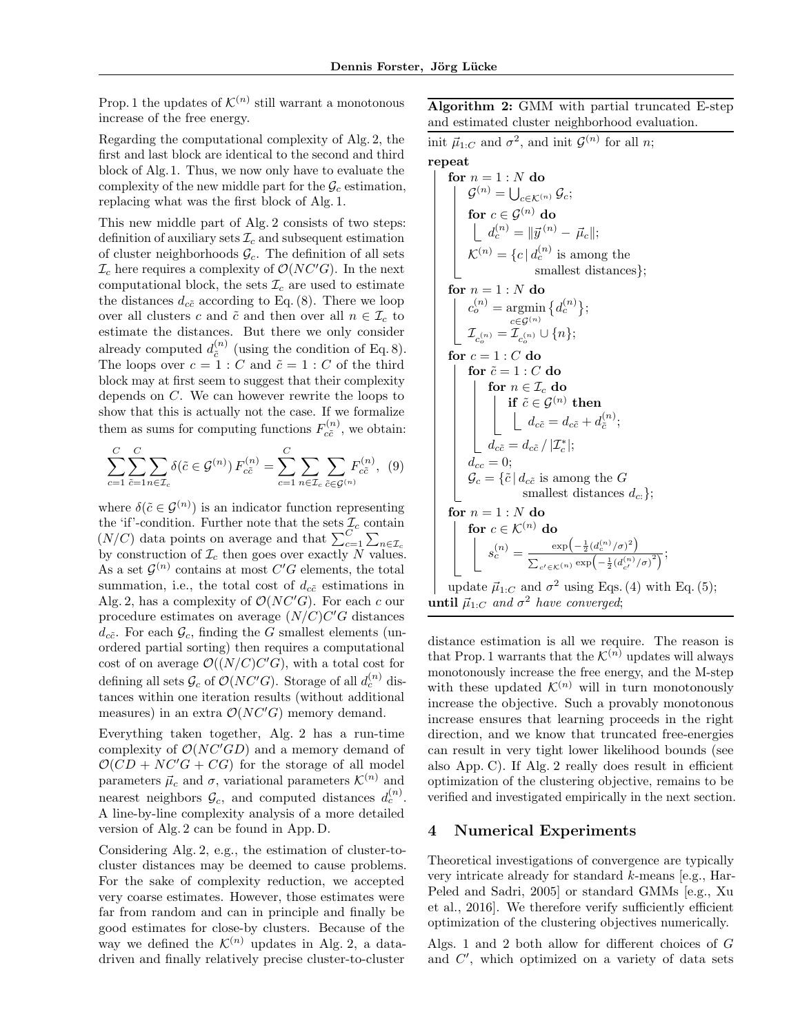Prop. 1 the updates of  $\mathcal{K}^{(n)}$  still warrant a monotonous increase of the free energy.

Regarding the computational complexity of Alg. [2,](#page-4-0) the first and last block are identical to the second and third block of Alg. [1.](#page-3-0) Thus, we now only have to evaluate the complexity of the new middle part for the  $\mathcal{G}_c$  estimation, replacing what was the first block of Alg. [1.](#page-3-0)

This new middle part of Alg. [2](#page-4-0) consists of two steps: definition of auxiliary sets  $\mathcal{I}_c$  and subsequent estimation of cluster neighborhoods  $\mathcal{G}_c$ . The definition of all sets  $\mathcal{I}_c$  here requires a complexity of  $\mathcal{O}(NC'G)$ . In the next computational block, the sets  $\mathcal{I}_c$  are used to estimate the distances  $d_{c\tilde{c}}$  according to Eq. [\(8\)](#page-3-1). There we loop over all clusters c and  $\tilde{c}$  and then over all  $n \in \mathcal{I}_c$  to estimate the distances. But there we only consider already computed  $d_{\tilde{c}}^{(n)}$  $c_i^{(n)}$  (using the condition of Eq. [8\)](#page-3-1). The loops over  $c = 1 : C$  and  $\tilde{c} = 1 : C$  of the third block may at first seem to suggest that their complexity depends on C. We can however rewrite the loops to show that this is actually not the case. If we formalize them as sums for computing functions  $F_{c\tilde{c}}^{(n)}$  $c_{\tilde{c}}^{(n)}$ , we obtain:

$$
\sum_{c=1}^{C} \sum_{\tilde{c}=1}^{C} \sum_{n \in \mathcal{I}_c} \delta(\tilde{c} \in \mathcal{G}^{(n)}) F_{c\tilde{c}}^{(n)} = \sum_{c=1}^{C} \sum_{n \in \mathcal{I}_c} \sum_{\tilde{c} \in \mathcal{G}^{(n)}} F_{c\tilde{c}}^{(n)}, (9)
$$

where  $\delta(\tilde{c} \in \mathcal{G}^{(n)})$  is an indicator function representing the 'if'-condition. Further note that the sets  $\mathcal{I}_c$  contain  $(N/C)$  data points on average and that  $\sum_{c=1}^{C} \sum_{n \in \mathcal{I}_c}$ by construction of  $\mathcal{I}_c$  then goes over exactly N values. As a set  $\mathcal{G}^{(n)}$  contains at most  $C'G$  elements, the total summation, i.e., the total cost of  $d_{c\tilde{c}}$  estimations in Alg. [2,](#page-4-0) has a complexity of  $\mathcal{O}(NC'G)$ . For each c our procedure estimates on average  $(N/C)C'G$  distances  $d_{c\tilde{c}}$ . For each  $\mathcal{G}_c$ , finding the G smallest elements (unordered partial sorting) then requires a computational cost of on average  $\mathcal{O}((N/C)C'G)$ , with a total cost for defining all sets  $\mathcal{G}_c$  of  $\mathcal{O}(NC'G)$ . Storage of all  $d_c^{(n)}$  distances within one iteration results (without additional measures) in an extra  $\mathcal{O}(NC'G)$  memory demand.

Everything taken together, Alg. [2](#page-4-0) has a run-time complexity of  $\mathcal{O}(NC'GD)$  and a memory demand of  $\mathcal{O}(CD + NC'G + CG)$  for the storage of all model parameters  $\vec{\mu}_c$  and  $\sigma$ , variational parameters  $\mathcal{K}^{(n)}$  and nearest neighbors  $\mathcal{G}_c$ , and computed distances  $d_c^{(n)}$ . A line-by-line complexity analysis of a more detailed version of Alg. [2](#page-4-0) can be found in App. [D.](#page--1-2)

Considering Alg. [2,](#page-4-0) e.g., the estimation of cluster-tocluster distances may be deemed to cause problems. For the sake of complexity reduction, we accepted very coarse estimates. However, those estimates were far from random and can in principle and finally be good estimates for close-by clusters. Because of the way we defined the  $\mathcal{K}^{(n)}$  updates in Alg. [2,](#page-4-0) a datadriven and finally relatively precise cluster-to-cluster

Algorithm 2: GMM with partial truncated E-step and estimated cluster neighborhood evaluation.

init  $\vec{\mu}_{1:C}$  and  $\sigma^2$ , and init  $\mathcal{G}^{(n)}$  for all n;

## repeat

**for** 
$$
n = 1 : N
$$
 **do**  
\n
$$
\mathcal{G}^{(n)} = \bigcup_{c \in \mathcal{K}^{(n)}} \mathcal{G}_c;
$$
\n**for**  $c \in \mathcal{G}^{(n)}$  **do**  
\n
$$
\bigcup_{d_c^{(n)}} d_c^{(n)} = ||\vec{y}^{(n)} - \vec{\mu}_c||;
$$
\n
$$
\mathcal{K}^{(n)} = \{c \mid d_c^{(n)} \text{ is among the smallest distances}\};
$$
\n**for**  $n = 1 : N$  **do**  
\n
$$
\bigg| \begin{array}{l} c_c^{(n)} = \text{argmin} \{d_c^{(n)}\}; \\ \mathcal{I}_{c_c^{(n)}} = \mathcal{I}_{c_c^{(n)}} \cup \{n\}; \\ \mathcal{I}_{c_c^{(n)}} = \mathcal{I}_{c_c^{(n)}} \cup \{n\}; \end{array}
$$
\n**for**  $c = 1 : C$  **do**  
\n**for**  $\tilde{c} = 1 : C$  **do**  
\n**for**  $n \in \mathcal{I}_c$  **do**  
\n**if**  $\tilde{c} \in \mathcal{G}^{(n)}$  **then**  
\n
$$
\bigcup_{d_c \tilde{c}} d_c \in d_c \tilde{c} + d_c^{(n)};
$$
\n
$$
d_{c} = 0;
$$
\n
$$
\mathcal{G}_c = \{\tilde{c} \mid d_{c\tilde{c}} \text{ is among the } G \text{ smallest distances } d_c: \};
$$
\n**for**  $n = 1 : N$  **do**  
\n**for**  $c \in \mathcal{K}^{(n)}$  **do**  
\n**for**  $e \in \mathcal{K}^{(n)}$  **do**  
\n
$$
\mathcal{S}_c^{(n)} = \frac{\exp(-\frac{1}{2}(d_c^{(n)}/\sigma)^2)}{\sum_{c' \in \mathcal{K}^{(n)}} \exp(-\frac{1}{2}(d_c^{(n)}/\sigma)^2)};
$$
\n**under**  $\tilde{d} \in \mathcal{$ 

update  $\vec{\mu}_{1:C}$  and  $\sigma^2$  using [Eqs. \(4\)](#page-1-2) with Eq. [\(5\)](#page-1-3); **until**  $\vec{\mu}_{1:C}$  and  $\sigma^2$  have converged;

<span id="page-4-0"></span>distance estimation is all we require. The reason is that Prop. 1 warrants that the  $\mathcal{K}^{(n)}$  updates will always monotonously increase the free energy, and the M-step with these updated  $\mathcal{K}^{(n)}$  will in turn monotonously increase the objective. Such a provably monotonous increase ensures that learning proceeds in the right direction, and we know that truncated free-energies can result in very tight lower likelihood bounds (see also App. [C\)](#page--1-3). If Alg. [2](#page-4-0) really does result in efficient optimization of the clustering objective, remains to be verified and investigated empirically in the next section.

### 4 Numerical Experiments

Theoretical investigations of convergence are typically very intricate already for standard k-means [e.g., [Har-](#page-8-35)[Peled and Sadri, 2005\]](#page-8-35) or standard GMMs [e.g., [Xu](#page-8-4) [et al., 2016\]](#page-8-4). We therefore verify sufficiently efficient optimization of the clustering objectives numerically.

Algs. [1](#page-3-0) and [2](#page-4-0) both allow for different choices of G and  $C'$ , which optimized on a variety of data sets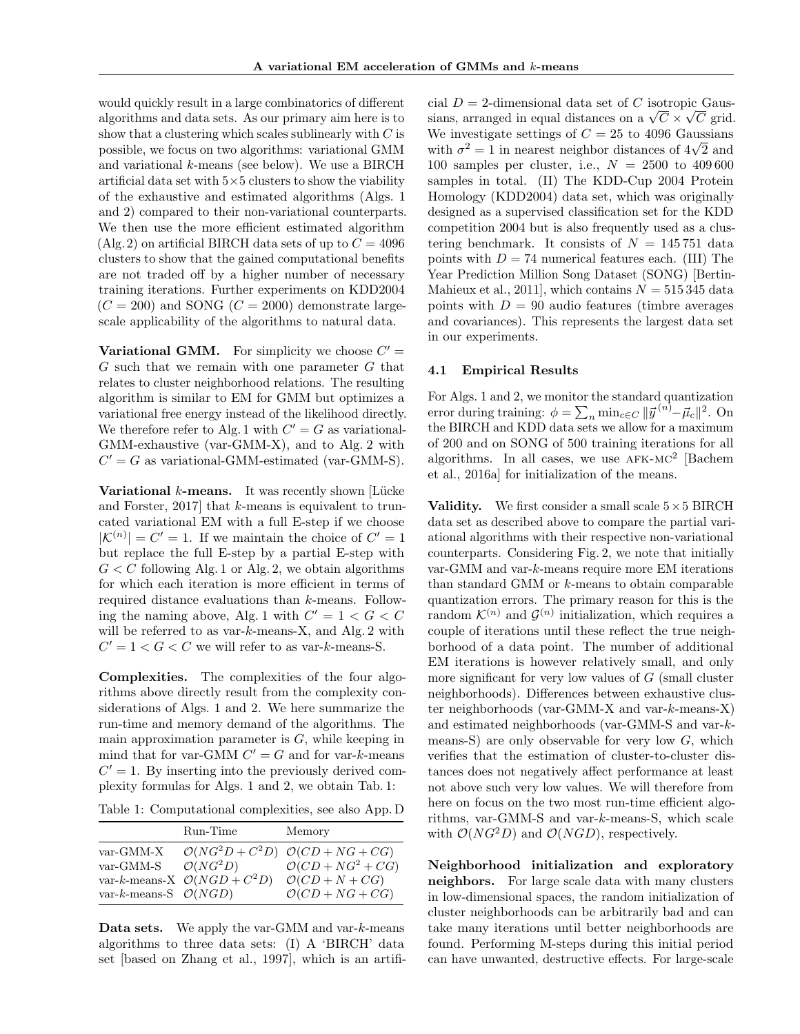would quickly result in a large combinatorics of different algorithms and data sets. As our primary aim here is to show that a clustering which scales sublinearly with  $C$  is possible, we focus on two algorithms: variational GMM and variational k-means (see below). We use a BIRCH artificial data set with  $5\times 5$  clusters to show the viability of the exhaustive and estimated algorithms (Algs. [1](#page-3-0) and [2\)](#page-4-0) compared to their non-variational counterparts. We then use the more efficient estimated algorithm (Alg. [2\)](#page-4-0) on artificial BIRCH data sets of up to  $C = 4096$ clusters to show that the gained computational benefits are not traded off by a higher number of necessary training iterations. Further experiments on KDD2004  $(C = 200)$  and SONG  $(C = 2000)$  demonstrate largescale applicability of the algorithms to natural data.

Variational GMM. For simplicity we choose  $C' =$ G such that we remain with one parameter G that relates to cluster neighborhood relations. The resulting algorithm is similar to EM for GMM but optimizes a variational free energy instead of the likelihood directly. We therefore refer to Alg. [1](#page-3-0) with  $C' = G$  as variational-GMM-exhaustive (var-GMM-X), and to Alg. [2](#page-4-0) with  $C' = G$  as variational-GMM-estimated (var-GMM-S).

**Variational**  $k$ **-means.** It was recently shown [Lücke [and Forster, 2017\]](#page-8-27) that k-means is equivalent to truncated variational EM with a full E-step if we choose  $|\mathcal{K}^{(n)}| = C' = 1$ . If we maintain the choice of  $C' = 1$ but replace the full E-step by a partial E-step with  $G \leq C$  following Alg. [1](#page-3-0) or Alg. [2,](#page-4-0) we obtain algorithms for which each iteration is more efficient in terms of required distance evaluations than k-means. Follow-ing the naming above, Alg. [1](#page-3-0) with  $C' = 1 < G < C$ will be referred to as var-k-means-X, and Alg. [2](#page-4-0) with  $C' = 1 < G < C$  we will refer to as var-k-means-S.

Complexities. The complexities of the four algorithms above directly result from the complexity considerations of Algs. [1](#page-3-0) and [2.](#page-4-0) We here summarize the run-time and memory demand of the algorithms. The main approximation parameter is  $G$ , while keeping in mind that for var-GMM  $C' = G$  and for var-k-means  $C' = 1$ . By inserting into the previously derived complexity formulas for Algs. [1](#page-3-0) and [2,](#page-4-0) we obtain Tab. [1:](#page-5-0)

<span id="page-5-0"></span>Table 1: Computational complexities, see also App. [D](#page--1-2)

|                                  | Run-Time                                | Memory                                           |
|----------------------------------|-----------------------------------------|--------------------------------------------------|
| $var-GMM-X$                      |                                         | $\mathcal{O}(NG^2D+C^2D)\ \mathcal{O}(CD+NG+CG)$ |
| var-GMM-S                        | $\mathcal{O}(NG^2D)$                    | $\mathcal{O}(CD + NG^2 + CG)$                    |
|                                  | var-k-means-X $\mathcal{O}(NGD + C^2D)$ | $\mathcal{O}(CD + N + CG)$                       |
| var-k-means-S $\mathcal{O}(NGD)$ |                                         | $\mathcal{O}(CD + NG + CG)$                      |

**Data sets.** We apply the var-GMM and var- $k$ -means algorithms to three data sets: (I) A 'BIRCH' data set [based on [Zhang et al., 1997\]](#page-8-36), which is an artifi-

cial  $D = 2$ -dimensional data set of C isotropic Gauscial  $D = 2$ -dimensional data set of C isotropic Gaussians, arranged in equal distances on a  $\sqrt{C} \times \sqrt{C}$  grid. We investigate settings of  $C = 25$  to 4096 Gaussians we investigate settings or  $C = 25$  to 4096 Gaussians<br>with  $\sigma^2 = 1$  in nearest neighbor distances of  $4\sqrt{2}$  and 100 samples per cluster, i.e.,  $N = 2500$  to 409600 samples in total. (II) The KDD-Cup 2004 Protein Homology (KDD2004) data set, which was originally designed as a supervised classification set for the KDD competition 2004 but is also frequently used as a clustering benchmark. It consists of  $N = 145751$  data points with  $D = 74$  numerical features each. (III) The Year Prediction Million Song Dataset (SONG) [\[Bertin-](#page-8-37)[Mahieux et al., 2011\]](#page-8-37), which contains  $N = 515345$  data points with  $D = 90$  audio features (timbre averages) and covariances). This represents the largest data set in our experiments.

#### 4.1 Empirical Results

For Algs. [1](#page-3-0) and [2,](#page-4-0) we monitor the standard quantization error during training:  $\phi = \sum_n \min_{c \in C} ||\vec{y}^{(n)} - \vec{\mu}_c||^2$ . On the BIRCH and KDD data sets we allow for a maximum of 200 and on SONG of 500 training iterations for all algorithms. In all cases, we use  $AFK-MC<sup>2</sup>$  [\[Bachem](#page-8-6) [et al., 2016a\]](#page-8-6) for initialization of the means.

**Validity.** We first consider a small scale  $5 \times 5$  BIRCH data set as described above to compare the partial variational algorithms with their respective non-variational counterparts. Considering Fig. [2,](#page-6-0) we note that initially var-GMM and var-k-means require more EM iterations than standard GMM or k-means to obtain comparable quantization errors. The primary reason for this is the random  $\mathcal{K}^{(n)}$  and  $\mathcal{G}^{(n)}$  initialization, which requires a couple of iterations until these reflect the true neighborhood of a data point. The number of additional EM iterations is however relatively small, and only more significant for very low values of  $G$  (small cluster neighborhoods). Differences between exhaustive cluster neighborhoods (var-GMM-X and var-k-means-X) and estimated neighborhoods (var-GMM-S and var-kmeans-S) are only observable for very low  $G$ , which verifies that the estimation of cluster-to-cluster distances does not negatively affect performance at least not above such very low values. We will therefore from here on focus on the two most run-time efficient algorithms, var-GMM-S and var-k-means-S, which scale with  $\mathcal{O}(NG^2D)$  and  $\mathcal{O}(NGD)$ , respectively.

Neighborhood initialization and exploratory neighbors. For large scale data with many clusters in low-dimensional spaces, the random initialization of cluster neighborhoods can be arbitrarily bad and can take many iterations until better neighborhoods are found. Performing M-steps during this initial period can have unwanted, destructive effects. For large-scale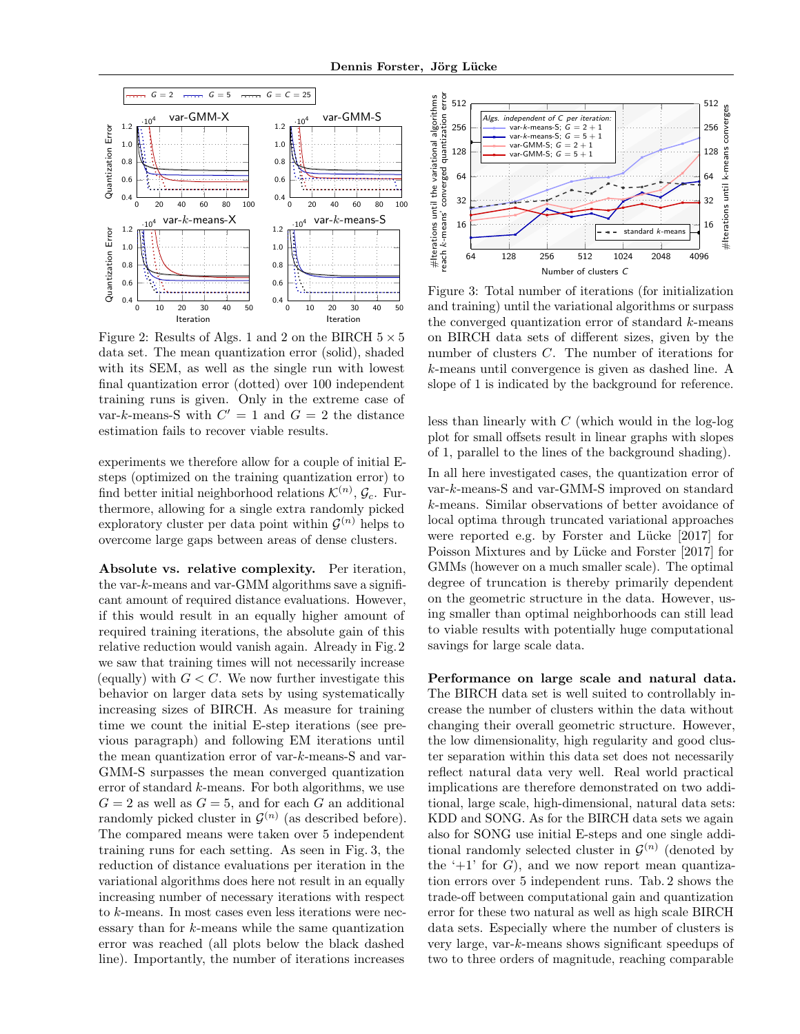<span id="page-6-0"></span>

Figure 2: Results of Algs. [1](#page-3-0) and [2](#page-4-0) on the BIRCH  $5 \times 5$ data set. The mean quantization error (solid), shaded with its SEM, as well as the single run with lowest final quantization error (dotted) over 100 independent training runs is given. Only in the extreme case of var-k-means-S with  $C' = 1$  and  $G = 2$  the distance estimation fails to recover viable results.

experiments we therefore allow for a couple of initial Esteps (optimized on the training quantization error) to find better initial neighborhood relations  $\mathcal{K}^{(n)}$ ,  $\mathcal{G}_c$ . Furthermore, allowing for a single extra randomly picked exploratory cluster per data point within  $\mathcal{G}^{(n)}$  helps to overcome large gaps between areas of dense clusters.

Absolute vs. relative complexity. Per iteration, the var- $k$ -means and var-GMM algorithms save a significant amount of required distance evaluations. However, if this would result in an equally higher amount of required training iterations, the absolute gain of this relative reduction would vanish again. Already in Fig. [2](#page-6-0) we saw that training times will not necessarily increase (equally) with  $G < C$ . We now further investigate this behavior on larger data sets by using systematically increasing sizes of BIRCH. As measure for training time we count the initial E-step iterations (see previous paragraph) and following EM iterations until the mean quantization error of var-k-means-S and var-GMM-S surpasses the mean converged quantization error of standard k-means. For both algorithms, we use  $G = 2$  as well as  $G = 5$ , and for each G an additional randomly picked cluster in  $\mathcal{G}^{(n)}$  (as described before). The compared means were taken over 5 independent training runs for each setting. As seen in Fig. [3,](#page-6-1) the reduction of distance evaluations per iteration in the variational algorithms does here not result in an equally increasing number of necessary iterations with respect to k-means. In most cases even less iterations were nec- $\cos$ ary than for  $k$ -means while the same quantization error was reached (all plots below the black dashed line). Importantly, the number of iterations increases

<span id="page-6-1"></span>

Figure 3: Total number of iterations (for initialization and training) until the variational algorithms or surpass the converged quantization error of standard  $k$ -means on BIRCH data sets of different sizes, given by the number of clusters C. The number of iterations for k-means until convergence is given as dashed line. A slope of 1 is indicated by the background for reference.

less than linearly with  $C$  (which would in the log-log plot for small offsets result in linear graphs with slopes of 1, parallel to the lines of the background shading).

In all here investigated cases, the quantization error of var-k-means-S and var-GMM-S improved on standard k-means. Similar observations of better avoidance of local optima through truncated variational approaches were reported e.g. by Forster and Lücke  $[2017]$  for Poisson Mixtures and by Lücke and Forster [\[2017\]](#page-8-27) for GMMs (however on a much smaller scale). The optimal degree of truncation is thereby primarily dependent on the geometric structure in the data. However, using smaller than optimal neighborhoods can still lead to viable results with potentially huge computational savings for large scale data.

Performance on large scale and natural data. The BIRCH data set is well suited to controllably increase the number of clusters within the data without changing their overall geometric structure. However, the low dimensionality, high regularity and good cluster separation within this data set does not necessarily reflect natural data very well. Real world practical implications are therefore demonstrated on two additional, large scale, high-dimensional, natural data sets: KDD and SONG. As for the BIRCH data sets we again also for SONG use initial E-steps and one single additional randomly selected cluster in  $\mathcal{G}^{(n)}$  (denoted by the  $+1$  for G, and we now report mean quantization errors over 5 independent runs. Tab. [2](#page-7-0) shows the trade-off between computational gain and quantization error for these two natural as well as high scale BIRCH data sets. Especially where the number of clusters is very large, var-k-means shows significant speedups of two to three orders of magnitude, reaching comparable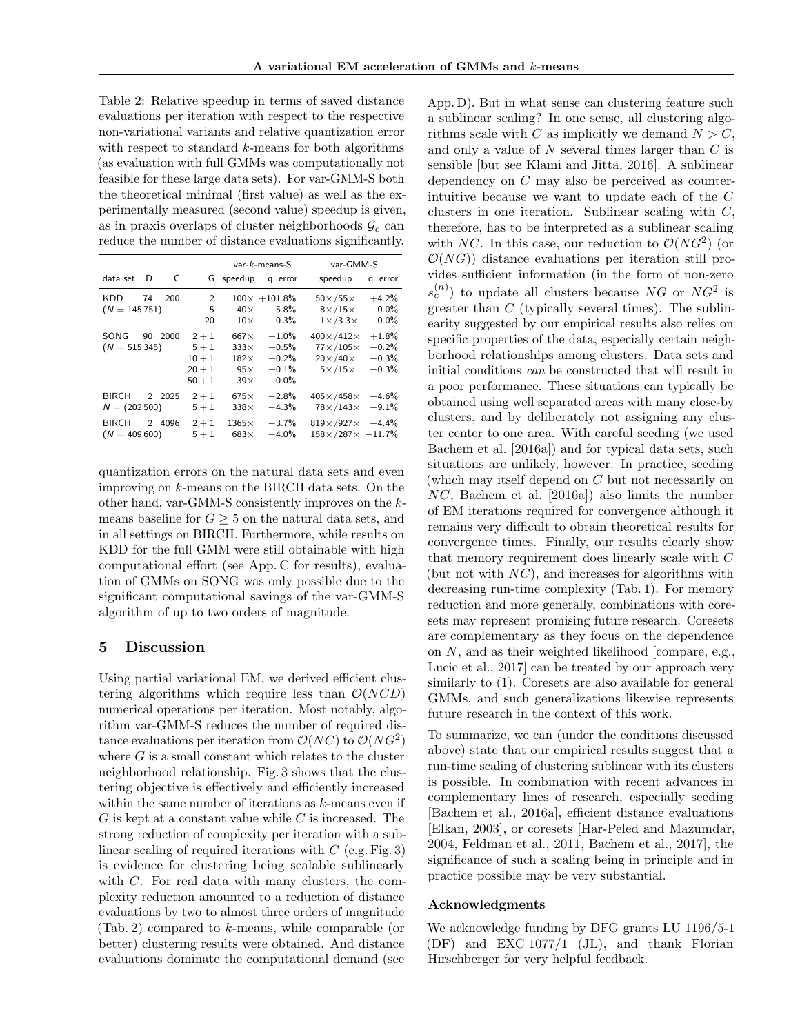<span id="page-7-0"></span>Table 2: Relative speedup in terms of saved distance evaluations per iteration with respect to the respective non-variational variants and relative quantization error with respect to standard k-means for both algorithms (as evaluation with full GMMs was computationally not feasible for these large data sets). For var-GMM-S both the theoretical minimal (first value) as well as the experimentally measured (second value) speedup is given, as in praxis overlaps of cluster neighborhoods  $\mathcal{G}_c$  can reduce the number of distance evaluations significantly.

|                          |    |        |                                                        | $var-k$ -means-S                                                      |                                                      | var-GMM-S                                                                                          |                                          |
|--------------------------|----|--------|--------------------------------------------------------|-----------------------------------------------------------------------|------------------------------------------------------|----------------------------------------------------------------------------------------------------|------------------------------------------|
| data set                 | D  | C      |                                                        | G speedup                                                             | q. error                                             | speedup                                                                                            | q. error                                 |
| KDD<br>$(N = 145751)$    | 74 | 200    | 2<br>5<br>20                                           | $40\times$<br>$10\times$                                              | $100 \times +101.8\%$<br>$+5.8\%$<br>$+0.3%$         | $50\times/55\times$<br>$8\times/15\times$<br>$1 \times 3.3 \times$                                 | $+4.2%$<br>$-0.0%$<br>$-0.0%$            |
| SONG<br>$(N = 515345)$   | 90 | 2000   | $2 + 1$<br>$5 + 1$<br>$10 + 1$<br>$20 + 1$<br>$50 + 1$ | $667\times$<br>$333\times$<br>$182\times$<br>$95\times$<br>$39\times$ | $+1.0%$<br>$+0.5%$<br>$+0.2%$<br>$+0.1%$<br>$+0.0\%$ | $400\times$ /412 $\times$<br>$77 \times 105 \times$<br>$20\times/40\times$<br>$5 \times 15 \times$ | $+1.8%$<br>$-0.2%$<br>$-0.3%$<br>$-0.3%$ |
| BIRCH<br>$N = (202 500)$ |    | 2 2025 | $2 + 1$<br>$5 + 1$                                     | $675\times$<br>$338\times$                                            | $-2.8%$<br>$-4.3%$                                   | $405 \times 458 \times -4.6\%$<br>$78\times/143\times$                                             | $-9.1%$                                  |
| BIRCH<br>$(N = 409600)$  | 2  | 4096   | $2 + 1$<br>$5 + 1$                                     | $1365\times$<br>$683\times$                                           | $-3.7%$<br>$-4.0%$                                   | $819 \times 927 \times -4.4\%$<br>$158 \times /287 \times -11.7\%$                                 |                                          |

quantization errors on the natural data sets and even improving on k-means on the BIRCH data sets. On the other hand, var-GMM-S consistently improves on the kmeans baseline for  $G \geq 5$  on the natural data sets, and in all settings on BIRCH. Furthermore, while results on KDD for the full GMM were still obtainable with high computational effort (see App. [C](#page--1-3) for results), evaluation of GMMs on SONG was only possible due to the significant computational savings of the var-GMM-S algorithm of up to two orders of magnitude.

## 5 Discussion

Using partial variational EM, we derived efficient clustering algorithms which require less than  $\mathcal{O}(NCD)$ numerical operations per iteration. Most notably, algorithm var-GMM-S reduces the number of required distance evaluations per iteration from  $\mathcal{O}(NC)$  to  $\mathcal{O}(NG^2)$ where  $G$  is a small constant which relates to the cluster neighborhood relationship. Fig. [3](#page-6-1) shows that the clustering objective is effectively and efficiently increased within the same number of iterations as  $k$ -means even if  $G$  is kept at a constant value while  $C$  is increased. The strong reduction of complexity per iteration with a sublinear scaling of required iterations with  $C$  (e.g. Fig. [3\)](#page-6-1) is evidence for clustering being scalable sublinearly with C. For real data with many clusters, the complexity reduction amounted to a reduction of distance evaluations by two to almost three orders of magnitude (Tab. [2\)](#page-7-0) compared to k-means, while comparable (or better) clustering results were obtained. And distance evaluations dominate the computational demand (see

App. [D\)](#page--1-2). But in what sense can clustering feature such a sublinear scaling? In one sense, all clustering algorithms scale with C as implicitly we demand  $N > C$ , and only a value of  $N$  several times larger than  $C$  is sensible [but see [Klami and Jitta, 2016\]](#page-8-38). A sublinear dependency on C may also be perceived as counterintuitive because we want to update each of the C clusters in one iteration. Sublinear scaling with  $C$ , therefore, has to be interpreted as a sublinear scaling with NC. In this case, our reduction to  $\mathcal{O}(NG^2)$  (or  $\mathcal{O}(NG)$  distance evaluations per iteration still provides sufficient information (in the form of non-zero  $s_c^{(n)}$ ) to update all clusters because NG or NG<sup>2</sup> is greater than  $C$  (typically several times). The sublinearity suggested by our empirical results also relies on specific properties of the data, especially certain neighborhood relationships among clusters. Data sets and initial conditions can be constructed that will result in a poor performance. These situations can typically be obtained using well separated areas with many close-by clusters, and by deliberately not assigning any cluster center to one area. With careful seeding (we used [Bachem et al.](#page-8-6) [\[2016a\]](#page-8-6)) and for typical data sets, such situations are unlikely, however. In practice, seeding (which may itself depend on C but not necessarily on NC, [Bachem et al.](#page-8-6) [\[2016a\]](#page-8-6)) also limits the number of EM iterations required for convergence although it remains very difficult to obtain theoretical results for convergence times. Finally, our results clearly show that memory requirement does linearly scale with C (but not with  $NC$ ), and increases for algorithms with decreasing run-time complexity (Tab. 1). For memory reduction and more generally, combinations with coresets may represent promising future research. Coresets are complementary as they focus on the dependence on N, and as their weighted likelihood [compare, e.g., [Lucic et al., 2017\]](#page-8-14) can be treated by our approach very similarly to [\(1\)](#page-1-4). Coresets are also available for general GMMs, and such generalizations likewise represents future research in the context of this work.

To summarize, we can (under the conditions discussed above) state that our empirical results suggest that a run-time scaling of clustering sublinear with its clusters is possible. In combination with recent advances in complementary lines of research, especially seeding [\[Bachem et al., 2016a\]](#page-8-6), efficient distance evaluations [\[Elkan, 2003\]](#page-8-9), or coresets [\[Har-Peled and Mazumdar,](#page-8-12) [2004,](#page-8-12) [Feldman et al., 2011,](#page-8-13) [Bachem et al., 2017\]](#page-8-15), the significance of such a scaling being in principle and in practice possible may be very substantial.

### Acknowledgments

We acknowledge funding by DFG grants LU 1196/5-1 (DF) and EXC 1077/1 (JL), and thank Florian Hirschberger for very helpful feedback.